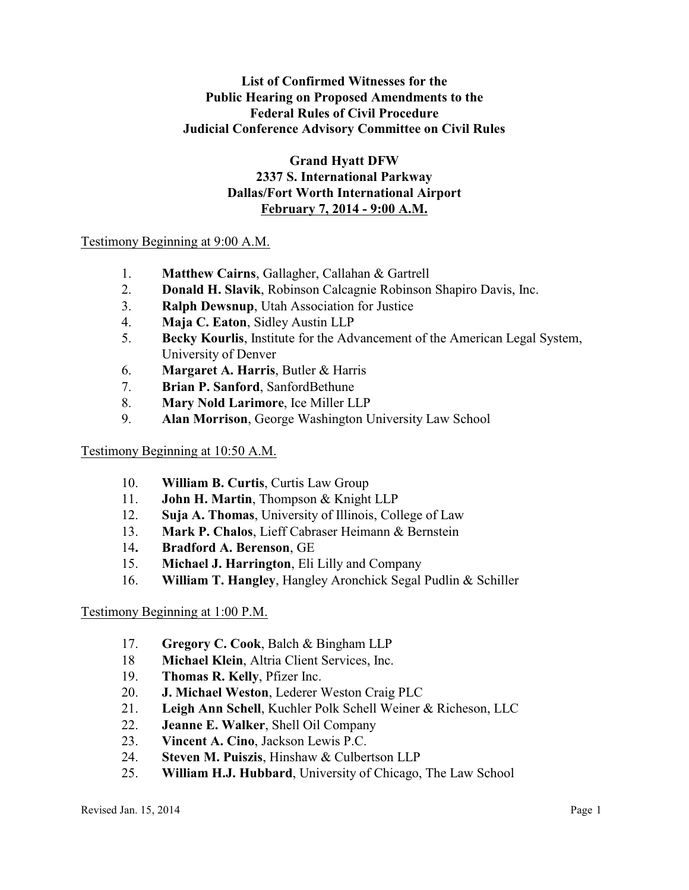# **List of Confirmed Witnesses for the Public Hearing on Proposed Amendments to the Federal Rules of Civil Procedure Judicial Conference Advisory Committee on Civil Rules**

**Grand Hyatt DFW 2337 S. International Parkway Dallas/Fort Worth International Airport February 7, 2014 - 9:00 A.M.**

## Testimony Beginning at 9:00 A.M.

- 1. **Matthew Cairns**, Gallagher, Callahan & Gartrell
- 2. **Donald H. Slavik**, Robinson Calcagnie Robinson Shapiro Davis, Inc.
- 3. **Ralph Dewsnup**, Utah Association for Justice
- 4. **Maja C. Eaton**, Sidley Austin LLP
- 5. **Becky Kourlis**, Institute for the Advancement of the American Legal System, University of Denver
- 6. **Margaret A. Harris**, Butler & Harris
- 7. **Brian P. Sanford**, SanfordBethune
- 8. **Mary Nold Larimore**, Ice Miller LLP
- 9. **Alan Morrison**, George Washington University Law School

### Testimony Beginning at 10:50 A.M.

- 10. **William B. Curtis**, Curtis Law Group
- 11. **John H. Martin**, Thompson & Knight LLP
- 12. **Suja A. Thomas**, University of Illinois, College of Law
- 13. **Mark P. Chalos**, Lieff Cabraser Heimann & Bernstein
- 14**. Bradford A. Berenson**, GE
- 15. **Michael J. Harrington**, Eli Lilly and Company
- 16. **William T. Hangley**, Hangley Aronchick Segal Pudlin & Schiller

### Testimony Beginning at 1:00 P.M.

- 17. **Gregory C. Cook**, Balch & Bingham LLP
- 18 **Michael Klein**, Altria Client Services, Inc.
- 19. **Thomas R. Kelly**, Pfizer Inc.
- 20. **J. Michael Weston**, Lederer Weston Craig PLC
- 21. **Leigh Ann Schell**, Kuchler Polk Schell Weiner & Richeson, LLC
- 22. **Jeanne E. Walker**, Shell Oil Company
- 23. **Vincent A. Cino**, Jackson Lewis P.C.
- 24. **Steven M. Puiszis**, Hinshaw & Culbertson LLP
- 25. **William H.J. Hubbard**, University of Chicago, The Law School